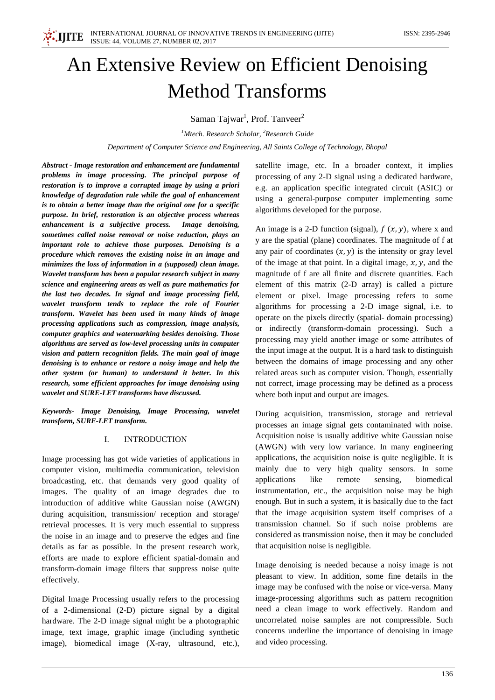

# An Extensive Review on Efficient Denoising Method Transforms

Saman Tajwar<sup>1</sup>, Prof. Tanveer<sup>2</sup>

*1 Mtech. Research Scholar, <sup>2</sup> Research Guide*

*Department of Computer Science and Engineering, All Saints College of Technology, Bhopal*

*Abstract - Image restoration and enhancement are fundamental problems in image processing. The principal purpose of restoration is to improve a corrupted image by using a priori knowledge of degradation rule while the goal of enhancement is to obtain a better image than the original one for a specific purpose. In brief, restoration is an objective process whereas enhancement is a subjective process. Image denoising, sometimes called noise removal or noise reduction, plays an important role to achieve those purposes. Denoising is a procedure which removes the existing noise in an image and minimizes the loss of information in a (supposed) clean image. Wavelet transform has been a popular research subject in many science and engineering areas as well as pure mathematics for the last two decades. In signal and image processing field, wavelet transform tends to replace the role of Fourier transform. Wavelet has been used in many kinds of image processing applications such as compression, image analysis, computer graphics and watermarking besides denoising. Those algorithms are served as low-level processing units in computer vision and pattern recognition fields. The main goal of image denoising is to enhance or restore a noisy image and help the other system (or human) to understand it better. In this research, some efficient approaches for image denoising using wavelet and SURE-LET transforms have discussed.*

*Keywords- Image Denoising, Image Processing, wavelet transform, SURE-LET transform.*

## I. INTRODUCTION

Image processing has got wide varieties of applications in computer vision, multimedia communication, television broadcasting, etc. that demands very good quality of images. The quality of an image degrades due to introduction of additive white Gaussian noise (AWGN) during acquisition, transmission/ reception and storage/ retrieval processes. It is very much essential to suppress the noise in an image and to preserve the edges and fine details as far as possible. In the present research work, efforts are made to explore efficient spatial-domain and transform-domain image filters that suppress noise quite effectively.

Digital Image Processing usually refers to the processing of a 2-dimensional (2-D) picture signal by a digital hardware. The 2-D image signal might be a photographic image, text image, graphic image (including synthetic image), biomedical image (X-ray, ultrasound, etc.), satellite image, etc. In a broader context, it implies processing of any 2-D signal using a dedicated hardware, e.g. an application specific integrated circuit (ASIC) or using a general-purpose computer implementing some algorithms developed for the purpose.

An image is a 2-D function (signal),  $f(x, y)$ , where x and y are the spatial (plane) coordinates. The magnitude of f at any pair of coordinates  $(x, y)$  is the intensity or gray level of the image at that point. In a digital image,  $x, y$ , and the magnitude of f are all finite and discrete quantities. Each element of this matrix (2-D array) is called a picture element or pixel. Image processing refers to some algorithms for processing a 2-D image signal, i.e. to operate on the pixels directly (spatial- domain processing) or indirectly (transform-domain processing). Such a processing may yield another image or some attributes of the input image at the output. It is a hard task to distinguish between the domains of image processing and any other related areas such as computer vision. Though, essentially not correct, image processing may be defined as a process where both input and output are images.

During acquisition, transmission, storage and retrieval processes an image signal gets contaminated with noise. Acquisition noise is usually additive white Gaussian noise (AWGN) with very low variance. In many engineering applications, the acquisition noise is quite negligible. It is mainly due to very high quality sensors. In some applications like remote sensing, biomedical instrumentation, etc., the acquisition noise may be high enough. But in such a system, it is basically due to the fact that the image acquisition system itself comprises of a transmission channel. So if such noise problems are considered as transmission noise, then it may be concluded that acquisition noise is negligible.

Image denoising is needed because a noisy image is not pleasant to view. In addition, some fine details in the image may be confused with the noise or vice-versa. Many image-processing algorithms such as pattern recognition need a clean image to work effectively. Random and uncorrelated noise samples are not compressible. Such concerns underline the importance of denoising in image and video processing.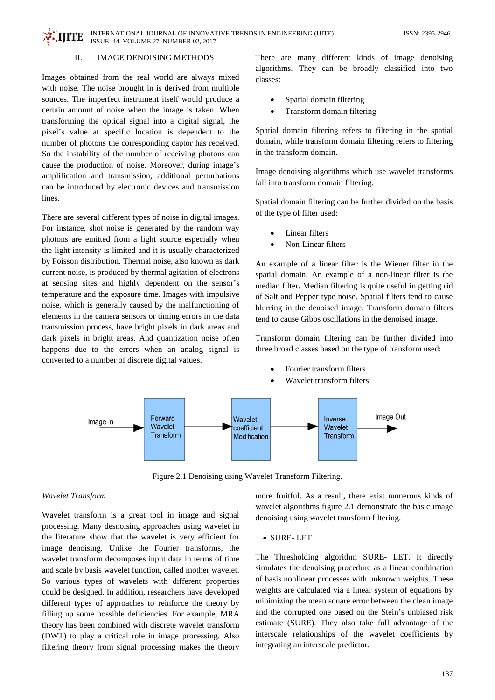## II. IMAGE DENOISING METHODS

Images obtained from the real world are always mixed with noise. The noise brought in is derived from multiple sources. The imperfect instrument itself would produce a certain amount of noise when the image is taken. When transforming the optical signal into a digital signal, the pixel's value at specific location is dependent to the number of photons the corresponding captor has received. So the instability of the number of receiving photons can cause the production of noise. Moreover, during image's amplification and transmission, additional perturbations can be introduced by electronic devices and transmission lines.

There are several different types of noise in digital images. For instance, shot noise is generated by the random way photons are emitted from a light source especially when the light intensity is limited and it is usually characterized by Poisson distribution. Thermal noise, also known as dark current noise, is produced by thermal agitation of electrons at sensing sites and highly dependent on the sensor's temperature and the exposure time. Images with impulsive noise, which is generally caused by the malfunctioning of elements in the camera sensors or timing errors in the data transmission process, have bright pixels in dark areas and dark pixels in bright areas. And quantization noise often happens due to the errors when an analog signal is converted to a number of discrete digital values.

There are many different kinds of image denoising algorithms. They can be broadly classified into two classes:

- Spatial domain filtering
- Transform domain filtering

Spatial domain filtering refers to filtering in the spatial domain, while transform domain filtering refers to filtering in the transform domain.

Image denoising algorithms which use wavelet transforms fall into transform domain filtering.

Spatial domain filtering can be further divided on the basis of the type of filter used:

- Linear filters
- Non-Linear filters

An example of a linear filter is the Wiener filter in the spatial domain. An example of a non-linear filter is the median filter. Median filtering is quite useful in getting rid of Salt and Pepper type noise. Spatial filters tend to cause blurring in the denoised image. Transform domain filters tend to cause Gibbs oscillations in the denoised image.

Transform domain filtering can be further divided into three broad classes based on the type of transform used:

- Fourier transform filters
- Wavelet transform filters



Figure 2.1 Denoising using Wavelet Transform Filtering.

#### *Wavelet Transform*

Wavelet transform is a great tool in image and signal processing. Many desnoising approaches using wavelet in the literature show that the wavelet is very efficient for image denoising. Unlike the Fourier transforms, the wavelet transform decomposes input data in terms of time and scale by basis wavelet function, called mother wavelet. So various types of wavelets with different properties could be designed. In addition, researchers have developed different types of approaches to reinforce the theory by filling up some possible deficiencies. For example, MRA theory has been combined with discrete wavelet transform (DWT) to play a critical role in image processing. Also filtering theory from signal processing makes the theory

more fruitful. As a result, there exist numerous kinds of wavelet algorithms figure 2.1 demonstrate the basic image denoising using wavelet transform filtering.

• SURE- LET

The Thresholding algorithm SURE- LET. It directly simulates the denoising procedure as a linear combination of basis nonlinear processes with unknown weights. These weights are calculated via a linear system of equations by minimizing the mean square error between the clean image and the corrupted one based on the Stein's unbiased risk estimate (SURE). They also take full advantage of the interscale relationships of the wavelet coefficients by integrating an interscale predictor.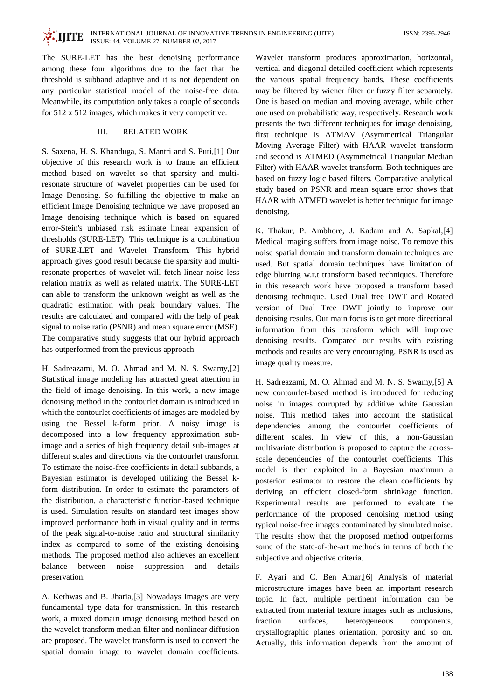**IIITE** 

The SURE-LET has the best denoising performance among these four algorithms due to the fact that the threshold is subband adaptive and it is not dependent on any particular statistical model of the noise-free data. Meanwhile, its computation only takes a couple of seconds for 512 x 512 images, which makes it very competitive.

# III. RELATED WORK

S. Saxena, H. S. Khanduga, S. Mantri and S. Puri,[1] Our objective of this research work is to frame an efficient method based on wavelet so that sparsity and multiresonate structure of wavelet properties can be used for Image Denosing. So fulfilling the objective to make an efficient Image Denoising technique we have proposed an Image denoising technique which is based on squared error-Stein's unbiased risk estimate linear expansion of thresholds (SURE-LET). This technique is a combination of SURE-LET and Wavelet Transform. This hybrid approach gives good result because the sparsity and multiresonate properties of wavelet will fetch linear noise less relation matrix as well as related matrix. The SURE-LET can able to transform the unknown weight as well as the quadratic estimation with peak boundary values. The results are calculated and compared with the help of peak signal to noise ratio (PSNR) and mean square error (MSE). The comparative study suggests that our hybrid approach has outperformed from the previous approach.

H. Sadreazami, M. O. Ahmad and M. N. S. Swamy,[2] Statistical image modeling has attracted great attention in the field of image denoising. In this work, a new image denoising method in the contourlet domain is introduced in which the contourlet coefficients of images are modeled by using the Bessel k-form prior. A noisy image is decomposed into a low frequency approximation subimage and a series of high frequency detail sub-images at different scales and directions via the contourlet transform. To estimate the noise-free coefficients in detail subbands, a Bayesian estimator is developed utilizing the Bessel kform distribution. In order to estimate the parameters of the distribution, a characteristic function-based technique is used. Simulation results on standard test images show improved performance both in visual quality and in terms of the peak signal-to-noise ratio and structural similarity index as compared to some of the existing denoising methods. The proposed method also achieves an excellent balance between noise suppression and details preservation.

A. Kethwas and B. Jharia,[3] Nowadays images are very fundamental type data for transmission. In this research work, a mixed domain image denoising method based on the wavelet transform median filter and nonlinear diffusion are proposed. The wavelet transform is used to convert the spatial domain image to wavelet domain coefficients. Wavelet transform produces approximation, horizontal, vertical and diagonal detailed coefficient which represents the various spatial frequency bands. These coefficients may be filtered by wiener filter or fuzzy filter separately. One is based on median and moving average, while other one used on probabilistic way, respectively. Research work presents the two different techniques for image denoising, first technique is ATMAV (Asymmetrical Triangular Moving Average Filter) with HAAR wavelet transform and second is ATMED (Asymmetrical Triangular Median Filter) with HAAR wavelet transform. Both techniques are based on fuzzy logic based filters. Comparative analytical study based on PSNR and mean square error shows that HAAR with ATMED wavelet is better technique for image denoising.

K. Thakur, P. Ambhore, J. Kadam and A. Sapkal,[4] Medical imaging suffers from image noise. To remove this noise spatial domain and transform domain techniques are used. But spatial domain techniques have limitation of edge blurring w.r.t transform based techniques. Therefore in this research work have proposed a transform based denoising technique. Used Dual tree DWT and Rotated version of Dual Tree DWT jointly to improve our denoising results. Our main focus is to get more directional information from this transform which will improve denoising results. Compared our results with existing methods and results are very encouraging. PSNR is used as image quality measure.

H. Sadreazami, M. O. Ahmad and M. N. S. Swamy,[5] A new contourlet-based method is introduced for reducing noise in images corrupted by additive white Gaussian noise. This method takes into account the statistical dependencies among the contourlet coefficients of different scales. In view of this, a non-Gaussian multivariate distribution is proposed to capture the acrossscale dependencies of the contourlet coefficients. This model is then exploited in a Bayesian maximum a posteriori estimator to restore the clean coefficients by deriving an efficient closed-form shrinkage function. Experimental results are performed to evaluate the performance of the proposed denoising method using typical noise-free images contaminated by simulated noise. The results show that the proposed method outperforms some of the state-of-the-art methods in terms of both the subjective and objective criteria.

F. Ayari and C. Ben Amar,[6] Analysis of material microstructure images have been an important research topic. In fact, multiple pertinent information can be extracted from material texture images such as inclusions, fraction surfaces, heterogeneous components, crystallographic planes orientation, porosity and so on. Actually, this information depends from the amount of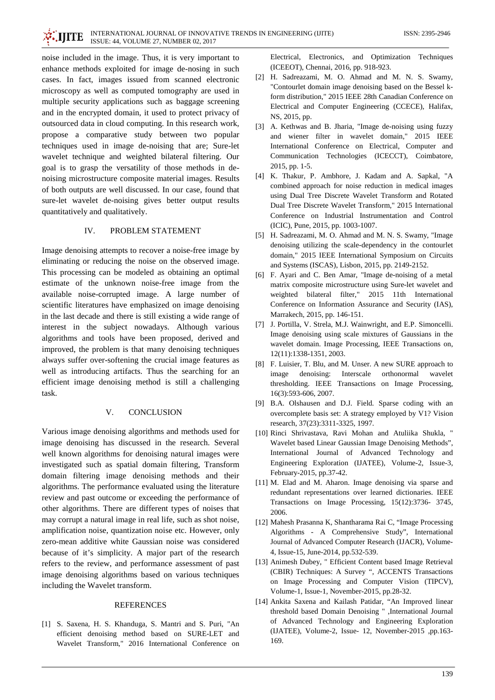noise included in the image. Thus, it is very important to enhance methods exploited for image de-nosing in such cases. In fact, images issued from scanned electronic microscopy as well as computed tomography are used in multiple security applications such as baggage screening and in the encrypted domain, it used to protect privacy of outsourced data in cloud computing. In this research work, propose a comparative study between two popular techniques used in image de-noising that are; Sure-let wavelet technique and weighted bilateral filtering. Our goal is to grasp the versatility of those methods in denoising microstructure composite material images. Results of both outputs are well discussed. In our case, found that sure-let wavelet de-noising gives better output results quantitatively and qualitatively.

# IV. PROBLEM STATEMENT

Image denoising attempts to recover a noise-free image by eliminating or reducing the noise on the observed image. This processing can be modeled as obtaining an optimal estimate of the unknown noise-free image from the available noise-corrupted image. A large number of scientific literatures have emphasized on image denoising in the last decade and there is still existing a wide range of interest in the subject nowadays. Although various algorithms and tools have been proposed, derived and improved, the problem is that many denoising techniques always suffer over-softening the crucial image features as well as introducing artifacts. Thus the searching for an efficient image denoising method is still a challenging task.

#### V. CONCLUSION

Various image denoising algorithms and methods used for image denoising has discussed in the research. Several well known algorithms for denoising natural images were investigated such as spatial domain filtering, Transform domain filtering image denoising methods and their algorithms. The performance evaluated using the literature review and past outcome or exceeding the performance of other algorithms. There are different types of noises that may corrupt a natural image in real life, such as shot noise, amplification noise, quantization noise etc. However, only zero-mean additive white Gaussian noise was considered because of it's simplicity. A major part of the research refers to the review, and performance assessment of past image denoising algorithms based on various techniques including the Wavelet transform.

### **REFERENCES**

[1] S. Saxena, H. S. Khanduga, S. Mantri and S. Puri, "An efficient denoising method based on SURE-LET and Wavelet Transform," 2016 International Conference on

Electrical, Electronics, and Optimization Techniques (ICEEOT), Chennai, 2016, pp. 918-923.

- [2] H. Sadreazami, M. O. Ahmad and M. N. S. Swamy, "Contourlet domain image denoising based on the Bessel kform distribution," 2015 IEEE 28th Canadian Conference on Electrical and Computer Engineering (CCECE), Halifax, NS, 2015, pp.
- [3] A. Kethwas and B. Jharia, "Image de-noising using fuzzy and wiener filter in wavelet domain," 2015 IEEE International Conference on Electrical, Computer and Communication Technologies (ICECCT), Coimbatore, 2015, pp. 1-5.
- [4] K. Thakur, P. Ambhore, J. Kadam and A. Sapkal, "A combined approach for noise reduction in medical images using Dual Tree Discrete Wavelet Transform and Rotated Dual Tree Discrete Wavelet Transform," 2015 International Conference on Industrial Instrumentation and Control (ICIC), Pune, 2015, pp. 1003-1007.
- [5] H. Sadreazami, M. O. Ahmad and M. N. S. Swamy, "Image denoising utilizing the scale-dependency in the contourlet domain," 2015 IEEE International Symposium on Circuits and Systems (ISCAS), Lisbon, 2015, pp. 2149-2152.
- [6] F. Ayari and C. Ben Amar, "Image de-noising of a metal matrix composite microstructure using Sure-let wavelet and weighted bilateral filter," 2015 11th International Conference on Information Assurance and Security (IAS), Marrakech, 2015, pp. 146-151.
- [7] J. Portilla, V. Strela, M.J. Wainwright, and E.P. Simoncelli. Image denoising using scale mixtures of Gaussians in the wavelet domain. Image Processing, IEEE Transactions on, 12(11):1338-1351, 2003.
- [8] F. Luisier, T. Blu, and M. Unser. A new SURE approach to image denoising: Interscale orthonormal wavelet thresholding. IEEE Transactions on Image Processing, 16(3):593-606, 2007.
- [9] B.A. Olshausen and D.J. Field. Sparse coding with an overcomplete basis set: A strategy employed by V1? Vision research, 37(23):3311-3325, 1997.
- [10] Rinci Shrivastava, Ravi Mohan and Atuliika Shukla, " Wavelet based Linear Gaussian Image Denoising Methods", International Journal of Advanced Technology and Engineering Exploration (IJATEE), Volume-2, Issue-3, February-2015, pp.37-42.
- [11] M. Elad and M. Aharon. Image denoising via sparse and redundant representations over learned dictionaries. IEEE Transactions on Image Processing, 15(12):3736- 3745, 2006.
- [12] Mahesh Prasanna K, Shantharama Rai C, "Image Processing Algorithms - A Comprehensive Study", International Journal of Advanced Computer Research (IJACR), Volume-4, Issue-15, June-2014, pp.532-539.
- [13] Animesh Dubey, " Efficient Content based Image Retrieval (CBIR) Techniques: A Survey ", ACCENTS Transactions on Image Processing and Computer Vision (TIPCV), Volume-1, Issue-1, November-2015, pp.28-32.
- [14] Ankita Saxena and Kailash Patidar, "An Improved linear threshold based Domain Denoising " ,International Journal of Advanced Technology and Engineering Exploration (IJATEE), Volume-2, Issue- 12, November-2015 ,pp.163- 169.